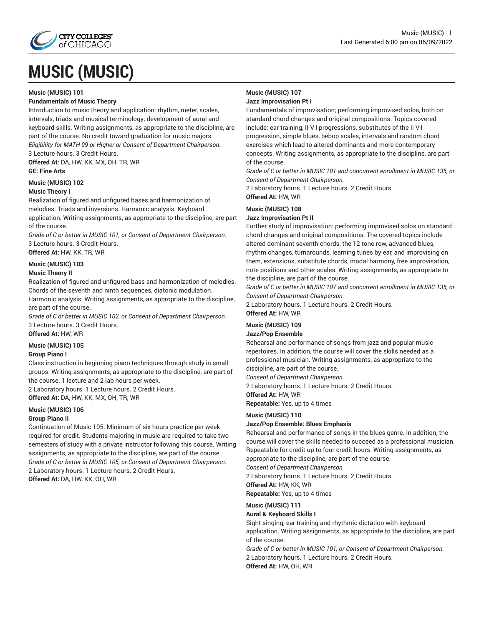

# **MUSIC (MUSIC)**

#### **Music (MUSIC) 101**

#### **Fundamentals of Music Theory**

Introduction to music theory and application: rhythm, meter, scales, intervals, triads and musical terminology; development of aural and keyboard skills. Writing assignments, as appropriate to the discipline, are part of the course. No credit toward graduation for music majors. *Eligibility for MATH 99 or Higher or Consent of Department Chairperson.*

3 Lecture hours. 3 Credit Hours.

**Offered At:** DA, HW, KK, MX, OH, TR, WR **GE: Fine Arts**

#### **Music (MUSIC) 102**

#### **Music Theory I**

Realization of figured and unfigured bases and harmonization of melodies. Triads and inversions. Harmonic analysis. Keyboard application. Writing assignments, as appropriate to the discipline, are part of the course.

*Grade of C or better in MUSIC 101, or Consent of Department Chairperson.* 3 Lecture hours. 3 Credit Hours.

**Offered At:** HW, KK, TR, WR

#### **Music (MUSIC) 103**

#### **Music Theory II**

Realization of figured and unfigured bass and harmonization of melodies. Chords of the seventh and ninth sequences, diatonic modulation. Harmonic analysis. Writing assignments, as appropriate to the discipline,

are part of the course.

*Grade of C or better in MUSIC 102, or Consent of Department Chairperson.* 3 Lecture hours. 3 Credit Hours.

**Offered At:** HW, WR

#### **Music (MUSIC) 105**

#### **Group Piano I**

Class instruction in beginning piano techniques through study in small groups. Writing assignments, as appropriate to the discipline, are part of the course. 1 lecture and 2 lab hours per week.

2 Laboratory hours. 1 Lecture hours. 2 Credit Hours.

**Offered At:** DA, HW, KK, MX, OH, TR, WR

#### **Music (MUSIC) 106**

#### **Group Piano II**

Continuation of Music 105. Minimum of six hours practice per week required for credit. Students majoring in music are required to take two semesters of study with a private instructor following this course. Writing assignments, as appropriate to the discipline, are part of the course. *Grade of C or better in MUSIC 105, or Consent of Department Chairperson.* 2 Laboratory hours. 1 Lecture hours. 2 Credit Hours. **Offered At:** DA, HW, KK, OH, WR

#### **Music (MUSIC) 107 Jazz Improvisation Pt I**

Fundamentals of improvisation; performing improvised solos, both on standard chord changes and original compositions. Topics covered include: ear training, II-V-I progressions, substitutes of the Ii-V-I progression, simple blues, bebop scales, intervals and random chord exercises which lead to altered dominants and more contemporary concepts. Writing assignments, as appropriate to the discipline, are part of the course.

*Grade of C or better in MUSIC 101 and concurrent enrollment in MUSIC 135, or Consent of Department Chairperson.*

2 Laboratory hours. 1 Lecture hours. 2 Credit Hours. **Offered At:** HW, WR

### **Music (MUSIC) 108**

#### **Jazz Improvisation Pt II**

Further study of improvisation: performing improvised solos on standard chord changes and original compositions. The covered topics include altered dominant seventh chords, the 12 tone row, advanced blues, rhythm changes, turnarounds, learning tunes by ear, and improvising on them, extensions, substitute chords, modal harmony, free improvisation, note positions and other scales. Writing assignments, as appropriate to the discipline, are part of the course.

*Grade of C or better in MUSIC 107 and concurrent enrollment in MUSIC 135, or Consent of Department Chairperson.*

2 Laboratory hours. 1 Lecture hours. 2 Credit Hours.

### **Offered At:** HW, WR

### **Music (MUSIC) 109**

#### **Jazz/Pop Ensemble**

Rehearsal and performance of songs from jazz and popular music repertoires. In addition, the course will cover the skills needed as a professional musician. Writing assignments, as appropriate to the discipline, are part of the course.

*Consent of Department Chairperson.*

2 Laboratory hours. 1 Lecture hours. 2 Credit Hours.

**Offered At:** HW, WR

**Repeatable:** Yes, up to 4 times

#### **Music (MUSIC) 110**

#### **Jazz/Pop Ensemble: Blues Emphasis**

Rehearsal and performance of songs in the blues genre. In addition, the course will cover the skills needed to succeed as a professional musician. Repeatable for credit up to four credit hours. Writing assignments, as appropriate to the discipline, are part of the course.

*Consent of Department Chairperson.*

2 Laboratory hours. 1 Lecture hours. 2 Credit Hours.

**Offered At:** HW, KK, WR

**Repeatable:** Yes, up to 4 times

#### **Music (MUSIC) 111**

#### **Aural & Keyboard Skills I**

Sight singing, ear training and rhythmic dictation with keyboard application. Writing assignments, as appropriate to the discipline, are part of the course.

*Grade of C or better in MUSIC 101, or Consent of Department Chairperson.* 2 Laboratory hours. 1 Lecture hours. 2 Credit Hours. **Offered At:** HW, OH, WR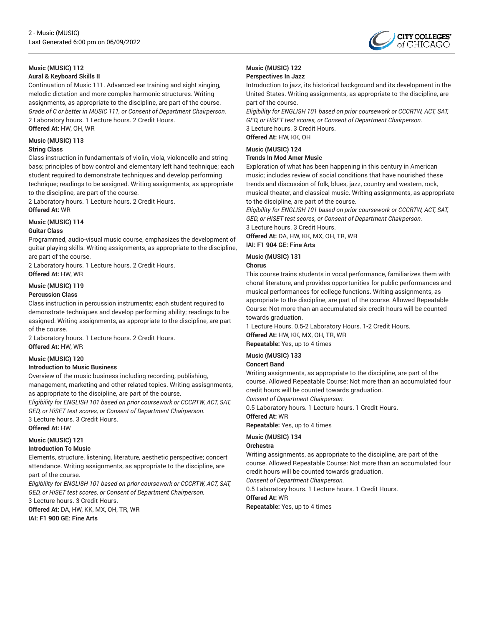

## **Music (MUSIC) 112**

**Aural & Keyboard Skills II**

Continuation of Music 111. Advanced ear training and sight singing, melodic dictation and more complex harmonic structures. Writing assignments, as appropriate to the discipline, are part of the course. *Grade of C or better in MUSIC 111, or Consent of Department Chairperson.* 2 Laboratory hours. 1 Lecture hours. 2 Credit Hours.

**Offered At:** HW, OH, WR

#### **Music (MUSIC) 113**

#### **String Class**

Class instruction in fundamentals of violin, viola, violoncello and string bass; principles of bow control and elementary left hand technique; each student required to demonstrate techniques and develop performing technique; readings to be assigned. Writing assignments, as appropriate to the discipline, are part of the course.

2 Laboratory hours. 1 Lecture hours. 2 Credit Hours. **Offered At:** WR

#### **Music (MUSIC) 114**

#### **Guitar Class**

Programmed, audio-visual music course, emphasizes the development of guitar playing skills. Writing assignments, as appropriate to the discipline, are part of the course.

2 Laboratory hours. 1 Lecture hours. 2 Credit Hours. **Offered At:** HW, WR

#### **Music (MUSIC) 119**

#### **Percussion Class**

Class instruction in percussion instruments; each student required to demonstrate techniques and develop performing ability; readings to be assigned. Writing assignments, as appropriate to the discipline, are part of the course.

2 Laboratory hours. 1 Lecture hours. 2 Credit Hours. **Offered At:** HW, WR

#### **Music (MUSIC) 120**

#### **Introduction to Music Business**

Overview of the music business including recording, publishing, management, marketing and other related topics. Writing assisgnments, as appropriate to the discipline, are part of the course.

*Eligibility for ENGLISH 101 based on prior coursework or CCCRTW, ACT, SAT, GED, or HiSET test scores, or Consent of Department Chairperson.* 3 Lecture hours. 3 Credit Hours.

**Offered At:** HW

#### **Music (MUSIC) 121**

#### **Introduction To Music**

Elements, structure, listening, literature, aesthetic perspective; concert attendance. Writing assignments, as appropriate to the discipline, are part of the course.

*Eligibility for ENGLISH 101 based on prior coursework or CCCRTW, ACT, SAT, GED, or HiSET test scores, or Consent of Department Chairperson.* 3 Lecture hours. 3 Credit Hours.

**Offered At:** DA, HW, KK, MX, OH, TR, WR **IAI: F1 900 GE: Fine Arts**

### **Music (MUSIC) 122**

#### **Perspectives In Jazz**

Introduction to jazz, its historical background and its development in the United States. Writing assignments, as appropriate to the discipline, are part of the course.

*Eligibility for ENGLISH 101 based on prior coursework or CCCRTW, ACT, SAT, GED, or HiSET test scores, or Consent of Department Chairperson.* 3 Lecture hours. 3 Credit Hours. **Offered At:** HW, KK, OH

**Music (MUSIC) 124**

#### **Trends In Mod Amer Music**

Exploration of what has been happening in this century in American music; includes review of social conditions that have nourished these trends and discussion of folk, blues, jazz, country and western, rock, musical theater, and classical music. Writing assignments, as appropriate to the discipline, are part of the course.

*Eligibility for ENGLISH 101 based on prior coursework or CCCRTW, ACT, SAT, GED, or HiSET test scores, or Consent of Department Chairperson.*

3 Lecture hours. 3 Credit Hours.

**Offered At:** DA, HW, KK, MX, OH, TR, WR **IAI: F1 904 GE: Fine Arts**

#### **Music (MUSIC) 131**

#### **Chorus**

This course trains students in vocal performance, familiarizes them with choral literature, and provides opportunities for public performances and musical performances for college functions. Writing assignments, as appropriate to the discipline, are part of the course. Allowed Repeatable Course: Not more than an accumulated six credit hours will be counted towards graduation.

1 Lecture Hours. 0.5-2 Laboratory Hours. 1-2 Credit Hours. **Offered At:** HW, KK, MX, OH, TR, WR

**Repeatable:** Yes, up to 4 times

#### **Music (MUSIC) 133**

#### **Concert Band**

Writing assignments, as appropriate to the discipline, are part of the course. Allowed Repeatable Course: Not more than an accumulated four credit hours will be counted towards graduation.

*Consent of Department Chairperson.*

0.5 Laboratory hours. 1 Lecture hours. 1 Credit Hours. **Offered At:** WR

**Repeatable:** Yes, up to 4 times

#### **Music (MUSIC) 134**

#### **Orchestra**

Writing assignments, as appropriate to the discipline, are part of the course. Allowed Repeatable Course: Not more than an accumulated four credit hours will be counted towards graduation.

*Consent of Department Chairperson.*

0.5 Laboratory hours. 1 Lecture hours. 1 Credit Hours.

**Offered At:** WR

**Repeatable:** Yes, up to 4 times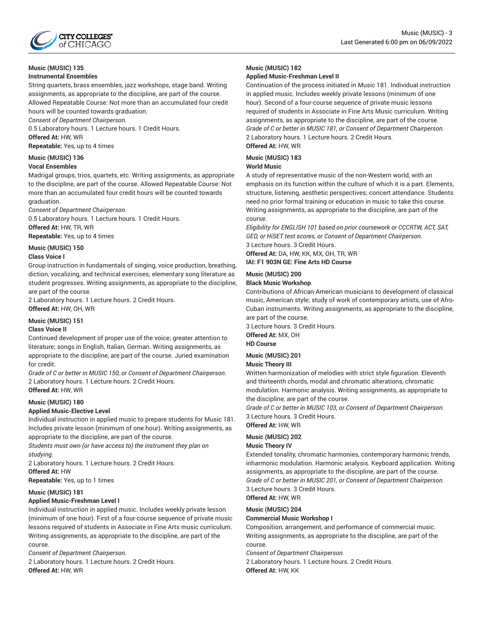

### **Music (MUSIC) 135**

#### **Instrumental Ensembles**

String quartets, brass ensembles, jazz workshops, stage band. Writing assignments, as appropriate to the discipline, are part of the course. Allowed Repeatable Course: Not more than an accumulated four credit hours will be counted towards graduation.

*Consent of Department Chairperson.*

0.5 Laboratory hours. 1 Lecture hours. 1 Credit Hours. **Offered At:** HW, WR

**Repeatable:** Yes, up to 4 times

### **Music (MUSIC) 136**

#### **Vocal Ensembles**

Madrigal groups, trios, quartets, etc. Writing assignments, as appropriate to the discipline, are part of the course. Allowed Repeatable Course: Not more than an accumulated four credit hours will be counted towards graduation.

*Consent of Department Chairperson.*

0.5 Laboratory hours. 1 Lecture hours. 1 Credit Hours. **Offered At:** HW, TR, WR

**Repeatable:** Yes, up to 4 times

#### **Music (MUSIC) 150**

#### **Class Voice I**

Group instruction in fundamentals of singing, voice production, breathing, diction, vocalizing, and technical exercises; elementary song literature as student progresses. Writing assignments, as appropriate to the discipline, are part of the course.

2 Laboratory hours. 1 Lecture hours. 2 Credit Hours.

**Offered At:** HW, OH, WR

#### **Music (MUSIC) 151**

#### **Class Voice II**

Continued development of proper use of the voice; greater attention to literature; songs in English, Italian, German. Writing assignments, as appropriate to the discipline, are part of the course. Juried examination for credit.

*Grade of C or better in MUSIC 150, or Consent of Department Chairperson.* 2 Laboratory hours. 1 Lecture hours. 2 Credit Hours. **Offered At:** HW, WR

#### **Music (MUSIC) 180**

#### **Applied Music-Elective Level**

Individual instruction in applied music to prepare students for Music 181. Includes private lesson (minimum of one hour). Writing assignments, as appropriate to the discipline, are part of the course.

*Students must own (or have access to) the instrument they plan on studying.*

2 Laboratory hours. 1 Lecture hours. 2 Credit Hours. **Offered At:** HW **Repeatable:** Yes, up to 1 times

#### **Music (MUSIC) 181**

#### **Applied Music-Freshman Level I**

Individual instruction in applied music. Includes weekly private lesson (minimum of one hour). First of a four-course sequence of private music lessons required of students in Associate in Fine Arts music curriculum. Writing assignments, as appropriate to the discipline, are part of the course.

*Consent of Department Chairperson.*

2 Laboratory hours. 1 Lecture hours. 2 Credit Hours. **Offered At:** HW, WR

#### **Music (MUSIC) 182**

#### **Applied Music-Freshman Level II**

Continuation of the process initiated in Music 181. Individual instruction in applied music. Includes weekly private lessons (minimum of one hour). Second of a four-course sequence of private music lessons required of students in Associate in Fine Arts Music curriculum. Writing assignments, as appropriate to the discipline, are part of the course. *Grade of C or better in MUSIC 181, or Consent of Department Chairperson.* 2 Laboratory hours. 1 Lecture hours. 2 Credit Hours.

### **Offered At:** HW, WR

### **Music (MUSIC) 183**

**World Music**

A study of representative music of the non-Western world, with an emphasis on its function within the culture of which it is a part. Elements, structure, listening, aesthetic perspectives; concert attendance. Students need no prior formal training or education in music to take this course. Writing assignments, as appropriate to the discipline, are part of the course.

*Eligibility for ENGLISH 101 based on prior coursework or CCCRTW, ACT, SAT, GED, or HiSET test scores, or Consent of Department Chairperson.* 3 Lecture hours. 3 Credit Hours.

**Offered At:** DA, HW, KK, MX, OH, TR, WR **IAI: F1 903N GE: Fine Arts HD Course**

#### **Music (MUSIC) 200**

#### **Black Music Workshop**

Contributions of African-American musicians to development of classical music, American style; study of work of contemporary artists, use of Afro-Cuban instruments. Writing assignments, as appropriate to the discipline, are part of the course.

3 Lecture hours. 3 Credit Hours.

**Offered At:** MX, OH **HD Course**

#### **Music (MUSIC) 201**

#### **Music Theory III**

Written harmonization of melodies with strict style figuration. Eleventh and thirteenth chords, modal and chromatic alterations, chromatic modulation. Harmonic analysis. Writing assignments, as appropriate to the discipline, are part of the course.

*Grade of C or better in MUSIC 103, or Consent of Department Chairperson.* 3 Lecture hours. 3 Credit Hours.

### **Offered At:** HW, WR

#### **Music (MUSIC) 202**

#### **Music Theory IV**

Extended tonality, chromatic harmonies, contemporary harmonic trends, inharmonic modulation. Harmonic analysis. Keyboard application. Writing assignments, as appropriate to the discipline, are part of the course. *Grade of C or better in MUSIC 201, or Consent of Department Chairperson.* 3 Lecture hours. 3 Credit Hours.

**Offered At:** HW, WR

#### **Music (MUSIC) 204**

#### **Commercial Music Workshop I**

Composition, arrangement, and performance of commercial music. Writing assignments, as appropriate to the discipline, are part of the course.

*Consent of Department Chairperson.*

2 Laboratory hours. 1 Lecture hours. 2 Credit Hours. **Offered At:** HW, KK